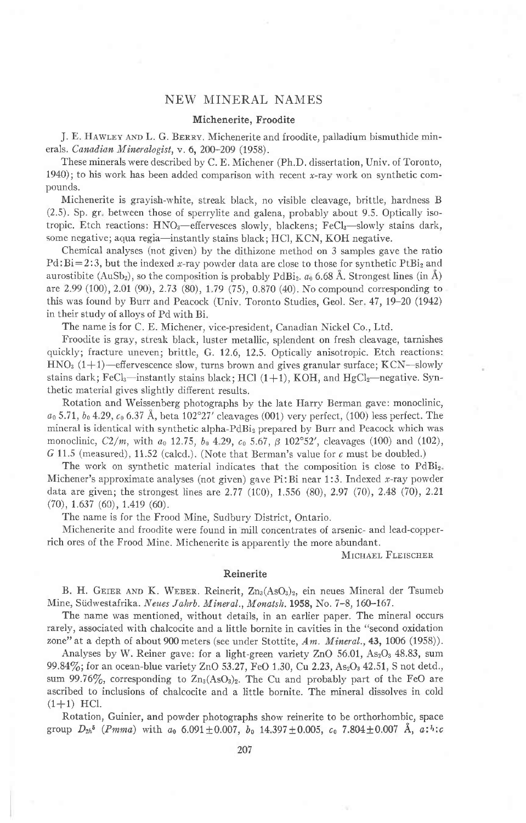# NEW MINERAL NAMES

## Michenerite, Froodite

J. E. HAWLEY AND L. G. BERRY. Michenerite and froodite, palladium bismuthide minerals. Canadian Mineralogist, v. 6, 200-209 (1958).

These minerals were described by C. E. Michener (Ph.D. dissertation, Univ. of Toronto, 1940); to his work has been added comparison with recent  $x$ -ray work on synthetic compounds.

Michenerite is grayish-white, streak black, no visible cleavage, brittle, hardness B (2.5). Sp. gr between those of sperrylite and galena, probably about 9.5. Optically isotropic. Etch reactions: HNO<sub>3</sub>-effervesces slowly, blackens; FeCl<sub>3</sub>-slowly stains dark, some negative; aqua regia—instantly stains black; HCl, KCN, KOH negative.

Chemical analyses (not given) by the dithizone method on 3 samples gave the ratio  $Pd:Bi=2:3$ , but the indexed x-ray powder data are close to those for synthetic PtBi<sub>2</sub> and aurostibite (AuSb<sub>2</sub>), so the composition is probably PdBi<sub>2</sub>.  $a_0$  6.68 Å. Strongest lines (in Å) are 2.99 (100),2.01 (9O),2.73 (80), 179 (75), 0.870 (40). Nocompound corresponding to this was found by Burr and Peacock (Univ. Toronto Studies, Geol. Ser. 47, 19–20 (1942) in their study of alloys of Pd with Bi.

The name is for C. E. Michener, vice-president, Canadian Nickel Co., Ltd.

Froodite is gray, streak black, luster metallic, splendent on fresh cleavage, tarnishes quickly; fracture uneven; brittle, G. 12.6, 12.5. Optically anisotropic. Etch reactions: HNO<sub>3</sub> (1+1)-effervescence slow, turns brown and gives granular surface; KCN-slowly stains dark; FeCl<sub>3</sub>—instantly stains black; HCl  $(1+1)$ , KOH, and HgCl<sub>2</sub>—negative. Synthetic material gives slightly difierent results.

Rotation and Weissenberg photographs by the late Harry Berman gave: monoclinic,  $a_0$  5.71,  $b_0$  4.29,  $c_0$  6.37 Å, beta 102°27' cleavages (001) very perfect, (100) less perfect. The mineral is identical with synthetic alpha-PdBi<sub>2</sub> prepared by Burr and Peacock which was monoclinic,  $C2/m$ , with  $a_0$  12.75,  $b_0$  4.29,  $c_0$  5.67,  $\beta$  102°52', cleavages (100) and (102), G 11.5 (measured), 11.52 (calcd.). (Note that Berman's value for  $c$  must be doubled.)

The work on synthetic material indicates that the composition is close to  $PdBi_{2}$ . Michener's approximate analyses (not given) gave Pi: Bi near 1:3. Indexed x-ray powder data are given; the strongest lines are  $2.77$  (100),  $1.556$  (80),  $2.97$  (70),  $2.48$  (70),  $2.21$ (70),1.637 (60), 1.419 (60).

The name is for the Frood Mine, Sudbury District, Ontario.

Michenerite and froodite were found in mill concentrates of arsenic- and lead-copperrich ores of the Frood Mine. Michenerite is apparently the more abundant.

MICHAEL FLEISCHER

## Reinerite

B. H. GEIER AND K. WEBER. Reinerit, Zn<sub>3</sub>(AsO<sub>3</sub>)<sub>2</sub>, ein neues Mineral der Tsumeb Mine, Südwestafrika. Neues Jahrb. Mineral., Monatsh. 1958, No. 7-8, 160-167.

The name was mentioned, without details, in an earlier paper. The mineral occurs rarely, associated with chalcocite and a little bornite in cavities in the "second oxidation zone" at a depth of about 900 meters (see under Stottite,  $Am.$  Mineral., 43, 1006 (1958)).

Analyses by W. Reiner gave: for a light-green variety ZnO 56.01, As<sub>2</sub>O<sub>3</sub> 48.83, sum 99.84%; for an ocean-blue variety ZnO 53.27, FeO 1.30, Cu 2.23,  $\text{As}_2\text{O}_3$  42.51, S not detd., sum 99.76%, corresponding to  $Zn_3(AsO_3)_2$ . The Cu and probably part of the FeO are ascribed to inclusions of chalcocite and a little bornite. The mineral dissolves in cold  $(1+1)$  HCl.

Rotation, Guinier, and powder photographs show reinerite to be orthorhombic, space group  $D_{2h}$ <sup>5</sup> (*Pmma*) with  $a_0$  6.091  $\pm$  0.007,  $b_0$  14.397  $\pm$  0.005,  $c_0$  7.804  $\pm$  0.007 Å,  $a:$ <sup>1</sup>: $c$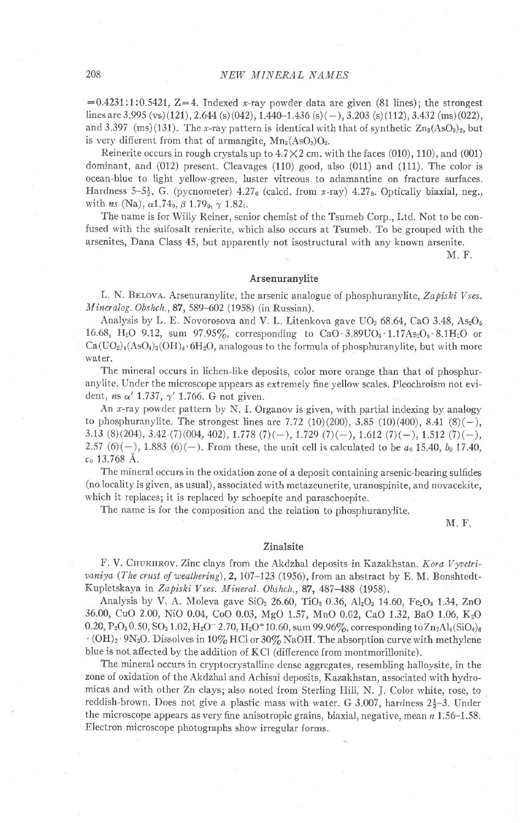$=0.4231:1:0.5421, Z=4.$  Indexed x-ray powder data are given (81 lines); the strongest lines are 3.995 (vs)(121), 2.644 (s)(042), 1.440-1.436 (s)(-), 3.203 (s)(112), 3.432 (ms)(022), and 3.397 (ms)(131). The x-ray pattern is identical with that of synthetic  $Zn_3(AsO<sub>3</sub>)<sub>2</sub>$ , but is very different from that of armangite,  $Mn_3(AsO_3)O_2$ .

Reinerite occurs in rough crystals up to  $4.7 \times 2$  cm. with the faces (010), 110), and (001) dominant, and (012) present. Cleavages (110) good, also (011) and (111). The color is ocean-blue to light yellow-green, luster vitreous to adamantine on fracture surfaces. Hardness  $5-5\frac{1}{2}$ , G. (pycnometer)  $4.27<sub>0</sub>$  (calcd, from x-ray)  $4.27<sub>8</sub>$ . Optically biaxial, neg., with *ns* (Na),  $\alpha$ 1.74<sub>9</sub>,  $\beta$  1.79<sub>0</sub>,  $\gamma$  1.82<sub>1</sub>.

The name is for Willy Reiner, senior chemist of the Tsumeb Corp., Ltd. Not to be confused with the sulfosalt renierite, which also occurs at Tsumeb. To be grouped with the arsenites, Dana Class 45, but apparently not isostructural with any known arsenite.

M. F.

## Arsenuranylite

L. N. BELOVA. Arsenuranylite, the arsenic analogue of phosphuranylite, Zapiski Vses. Mineralog. Obshch., 87, 589-602 (1958) (in Russian).

Analysis by L. E. Novorosova and V. L. Litenkova gave  $UO_3$  68.64, CaO 3.48, As<sub>2</sub>O<sub>5</sub> 16.68, H<sub>2</sub>O 9.12, sum 97.95%, corresponding to CaO 3.89UO<sub>3</sub> 1.17As<sub>2</sub>O<sub>5</sub> 8.1H<sub>2</sub>O or  $Ca(UO<sub>2</sub>)<sub>4</sub>(AsO<sub>4</sub>)<sub>2</sub>(OH)<sub>4</sub>·6H<sub>2</sub>O$ , analogous to the formula of phosphuranylite, but with more water.

The mineral occurs in lichen-like deposits, color more orange than that of phosphuranylite. Under the microscope appears as extremely fine yellow scales. Pleochroism not evident, ns  $\alpha'$  1.737,  $\gamma'$  1.766. G not given.

An x-ray powder pattern by N. I. Organov is given, with partial indexing by analogy to phosphuranylite. The strongest lines are 7.72 (10)(200), 3.85 (10)(400), 8.41 (8)(-), 3.13 (8)(204), 3.42 (7)(004, 402), 1.778 (7)(-), 1.729 (7)(-), 1.612 (7)(-), 1.512 (7)(-), 2.57 (6)(-), 1.883 (6)(-). From these, the unit cell is calculated to be  $a_0$  15.40,  $b_0$  17.40,  $c_0$  13.768 Å.

The mineral occurs in the oxidation zone of a deposit containing arsenic-bearing sulfides (no locality is given, as usual), associated with metazeunerite, uranospinite, and novacekite, which it replaces; it is replaced by schoepite and paraschoepite.

The name is for the composition and the relation to phosphuranylite.

M. F.

#### Zinalsite

F. V. CHUKHROV. Zinc clays from the Akdzhal deposits in Kazakhstan. Kora Vyvetrivaniya (The crust of weathering), 2, 107-123 (1956), from an abstract by E. M. Bonshtedt-Kupletskaya in Zapiski Vses. Mineral. Obshch., 87, 487-488 (1958).

Analysis by V. A. Moleva gave  $SiO_2$  26.60, TiO<sub>2</sub> 0.36, Al<sub>2</sub>O<sub>3</sub> 14.60, Fe<sub>2</sub>O<sub>3</sub> 1.34, ZnO 36.00, CuO 2.00, NiO 0.04, CoO 0.03, MgO 1.57, MnO 0.02, CaO 1.32, BaO 1.06, KzO 0.20, P<sub>2</sub>O<sub>5</sub> 0.50, SO<sub>3</sub> 1.02, H<sub>2</sub>O<sup>-</sup>2.70, H<sub>2</sub>O<sup>+</sup>10.60, sum 99.96%, corresponding toZn<sub>7</sub>Al<sub>4</sub>(SiO<sub>4</sub>)<sub>6</sub>  $\cdot$  (OH)<sub>2</sub> $\cdot$  9N<sub>2</sub>O. Dissolves in 10% HCl or 30% NaOH. The absorption curve with methylene blue is not affected by the addition of KCI (difference from montmorillonite).

The mineral occurs in cryptocrystalline dense aggregates, resembling halloysite, in the zone of oxidation of the Akdzhal and Achisai deposits, Kazakhstan, associated with hydromicas and with other Zn clays; also noted from Sterling Hill, N. J. Color white, rose, to reddish-brown. Does not give a plastic mass with water. G 3.007, hardness  $2\frac{1}{2}-3$ . Under the microscope appears as very fine anisotropic grains, biaxial, negative, mean  $n$  1.56-1.58. Electron microscope photographs show irregular forms.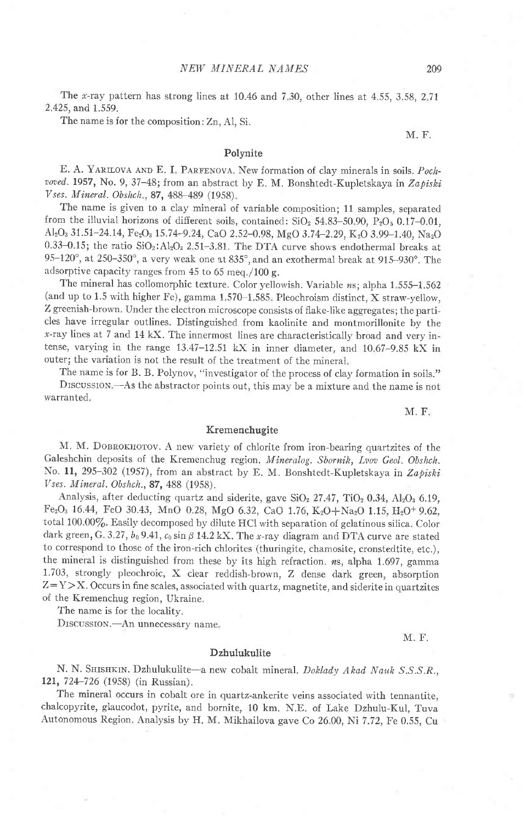The x-ray pattern has strong lines at  $10.46$  and  $7.30$ , other lines at  $4.55$ ,  $3.58$ ,  $2.71$ 2.425, and 1.559.

The name is for the composition: Zn, A1, Si.

### Polynite

E. A. YARILOVA AND E. I. PARFENOVA. New formation of clay minerals in soils. Pochvoved. 1957, No. 9, 37-48; from an abstract by E. M. Bonshtedt-Kupletskaya in Zapiski Vses. Mineral. Obshch., 87, 488-489 (1958).

The name is given to a clay mineral of variable composition; 11 samples, separated from the illuvial horizons of different soils, contained:  $SiO<sub>2</sub> 54.83-50.90$ ,  $P<sub>2</sub>O<sub>5</sub> 0.17-0.01$ , Al<sub>2</sub>O<sub>3</sub> 31.51-24.14, Fe<sub>2</sub>O<sub>3</sub> 15.74-9.24, CaO 2.52-0.98, MgO 3.74-2.29, K<sub>2</sub>O 3.99-1.40, Na<sub>2</sub>O 0.33-0.15; the ratio  $SiO<sub>2</sub>:Al<sub>2</sub>O<sub>3</sub> 2.51-3.81$ . The DTA curve shows endothermal breaks at  $95-120^\circ$ , at  $250-350^\circ$ , a very weak one at  $835^\circ$ , and an exothermal break at  $915-930^\circ$ . The adsorptive capacity ranges from 45 to 65 meq /100 g.

The mineral has collomorphic texture. Color yellowish. Variable ns; alpha 1.555-1.562 (and up to 1.5 with higher Fe), gamma  $1.570-1.585$ . Pleochroism distinct, X straw-yellow, Z greenish-brown. Under the electron microscope consists of flake-like aggregates; the particles have irregular outlines. Distinguished from kaolinite and montmorillonite by the  $x$ -ray lines at 7 and 14 kX. The innermost lines are characteristically broad and very intense, varying in the range 13.47-12 51 kX in inner diameter, and 1067-9.85 kX in outer; the variation is not the result of the treatment of the mineral

The name is for B. B. Polynov, "investigator of the process of clay formation in soils." Drscussrom -As the abstractor points out, this may be a mixture and the name is not warranted.

M. F. Kremenchugite

М. М. DOBROKHOTOV. A new variety of chlorite from iron-bearing quartzites of the Galeshchin deposits of the Kremenchug region. Mineralog. Sbornik, Lvov Geol. Obshch. No. 11, 295-302 (1957), from an abstract by E. M. Bonshtedt-Kupletskaya in Zapiski Vses. Mineral. Obshch.,87, 488 (1958).

Analysis, after deducting quartz and siderite, gave  $SiO<sub>2</sub> 27.47$ ,  $TiO<sub>2</sub> 0.34$ ,  $Al<sub>2</sub>O<sub>3</sub> 6.19$ , Fe<sub>2</sub>O<sub>3</sub> 16.44, FeO 30.43, MnO 0.28, MgO 6.32, CaO 1.76, K<sub>2</sub>O+Na<sub>2</sub>O 1.15, H<sub>2</sub>O<sup>+</sup> 9.62, total 100.00%. Easily decomposed by dilute HCl with separation of gelatinous silica. Color dark green, G. 3.27,  $b_0$  9.41,  $c_0$  sin  $\beta$  14.2 kX. The x-ray diagram and DTA curve are stated to correspond to those of the iron-rich chlorites (thuringite, chamosite, cronstedtite, etc.), the mineral is distinguished from these by its high refraction.  $n_s$ , alpha 1.697, gamma 1.703, strongly pleochroic, X clear reddish-brown, Z dense dark green, absorption  $Z = Y > X$ . Occurs in fine scales, associated with quartz, magnetite, and siderite in quartzites of the Kremenchug region, Ukraine.

The name is for the locaiity.

DISCUSSION.-An unnecessary name.

#### Dzhulukulite

N. N. SHISHKIN. Dzhulukulite-a new cobalt mineral. Doklady Akad Nauk S.S.S.R., 121,724-726 (1958) (in Russian).

The mineral occurs in cobalt ore in quartz-ankerite veins associated with tennantite, chalcopyrite, glaucodot, pyrite, and bornite, 10 km. N.E. of Lake Dzhulu-Kul, Tuva Autonomous Region. Analysis by H. M. Mikhailova gave Co 26 00, Ni 7.72, Fe 0.55, Cu

209

M. F.

M. F.